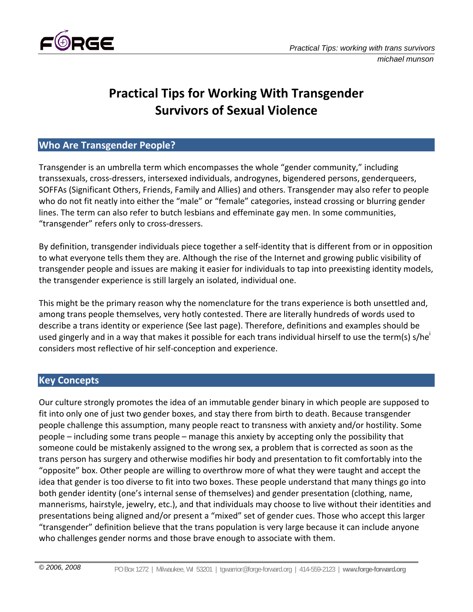

# **Practical Tips for Working With Transgender Survivors of Sexual Violence**

#### **Who Are Transgender People?**

Transgender is an umbrella term which encompasses the whole "gender community," including transsexuals, cross‐dressers, intersexed individuals, androgynes, bigendered persons, genderqueers, SOFFAs (Significant Others, Friends, Family and Allies) and others. Transgender may also refer to people who do not fit neatly into either the "male" or "female" categories, instead crossing or blurring gender lines. The term can also refer to butch lesbians and effeminate gay men. In some communities, "transgender" refers only to cross‐dressers.

By definition, transgender individuals piece together a self-identity that is different from or in opposition to what everyone tells them they are. Although the rise of the Internet and growing public visibility of transgender people and issues are making it easier for individuals to tap into preexisting identity models, the transgender experience is still largely an isolated, individual one.

This might be the primary reason why the nomenclature for the trans experience is both unsettled and, among trans people themselves, very hotly contested. There are literally hundreds of words used to describe a trans identity or experience (See last page). Therefore, definitions and examples should be used gingerly and in a way that makes it possible for each trans individual hirself to use the term(s) s/he' considers most reflective of hir self‐conception and experience.

#### **Key Concepts**

Our culture strongly promotes the idea of an immutable gender binary in which people are supposed to fit into only one of just two gender boxes, and stay there from birth to death. Because transgender people challenge this assumption, many people react to transness with anxiety and/or hostility. Some people – including some trans people – manage this anxiety by accepting only the possibility that someone could be mistakenly assigned to the wrong sex, a problem that is corrected as soon as the trans person has surgery and otherwise modifies hir body and presentation to fit comfortably into the "opposite" box. Other people are willing to overthrow more of what they were taught and accept the idea that gender is too diverse to fit into two boxes. These people understand that many things go into both gender identity (one's internal sense of themselves) and gender presentation (clothing, name, mannerisms, hairstyle, jewelry, etc.), and that individuals may choose to live without their identities and presentations being aligned and/or present a "mixed" set of gender cues. Those who accept this larger "transgender" definition believe that the trans population is very large because it can include anyone who challenges gender norms and those brave enough to associate with them.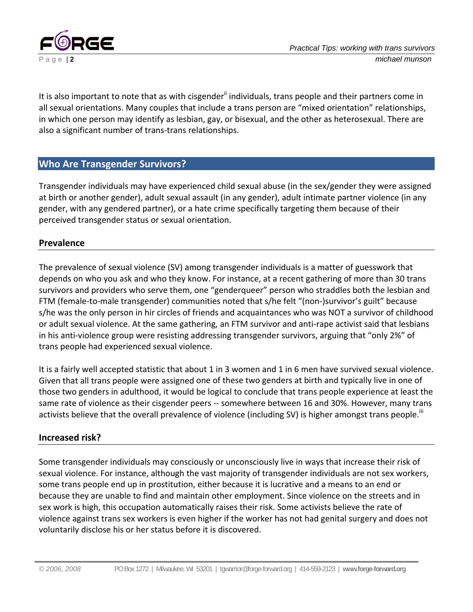

It is also important to note that as with cisgender<sup>ii</sup> individuals, trans people and their partners come in all sexual orientations. Many couples that include a trans person are "mixed orientation" relationships, in which one person may identify as lesbian, gay, or bisexual, and the other as heterosexual. There are also a significant number of trans‐trans relationships.

#### **Who Are Transgender Survivors?**

Transgender individuals may have experienced child sexual abuse (in the sex/gender they were assigned at birth or another gender), adult sexual assault (in any gender), adult intimate partner violence (in any gender, with any gendered partner), or a hate crime specifically targeting them because of their perceived transgender status or sexual orientation.

#### **Prevalence**

The prevalence of sexual violence (SV) among transgender individuals is a matter of guesswork that depends on who you ask and who they know. For instance, at a recent gathering of more than 30 trans survivors and providers who serve them, one "genderqueer" person who straddles both the lesbian and FTM (female-to-male transgender) communities noted that s/he felt "(non-)survivor's guilt" because s/he was the only person in hir circles of friends and acquaintances who was NOT a survivor of childhood or adult sexual violence. At the same gathering, an FTM survivor and anti‐rape activist said that lesbians in his anti-violence group were resisting addressing transgender survivors, arguing that "only 2%" of trans people had experienced sexual violence.

It is a fairly well accepted statistic that about 1 in 3 women and 1 in 6 men have survived sexual violence. Given that all trans people were assigned one of these two genders at birth and typically live in one of those two genders in adulthood, it would be logical to conclude that trans people experience at least the same rate of violence as their cisgender peers -- somewhere between 16 and 30%. However, many trans activists believe that the overall prevalence of violence (including SV) is higher amongst trans people.<sup>iii</sup>

#### **Increased risk?**

Some transgender individuals may consciously or unconsciously live in ways that increase their risk of sexual violence. For instance, although the vast majority of transgender individuals are not sex workers, some trans people end up in prostitution, either because it is lucrative and a means to an end or because they are unable to find and maintain other employment. Since violence on the streets and in sex work is high, this occupation automatically raises their risk. Some activists believe the rate of violence against trans sex workers is even higher if the worker has not had genital surgery and does not voluntarily disclose his or her status before it is discovered.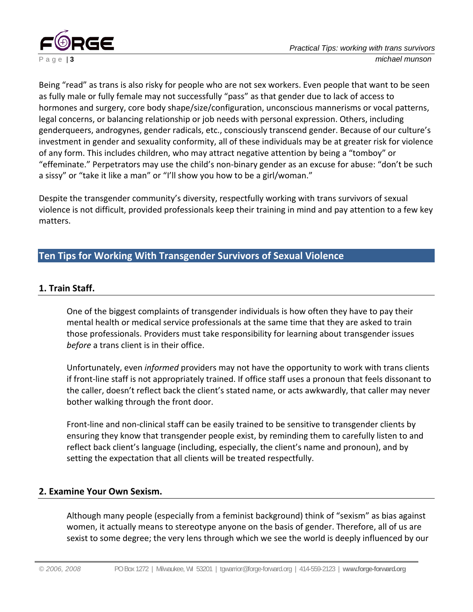

Being "read" as trans is also risky for people who are not sex workers. Even people that want to be seen as fully male or fully female may not successfully "pass" as that gender due to lack of access to hormones and surgery, core body shape/size/configuration, unconscious mannerisms or vocal patterns, legal concerns, or balancing relationship or job needs with personal expression. Others, including genderqueers, androgynes, gender radicals, etc., consciously transcend gender. Because of our culture's investment in gender and sexuality conformity, all of these individuals may be at greater risk for violence of any form. This includes children, who may attract negative attention by being a "tomboy" or "effeminate." Perpetrators may use the child's non‐binary gender as an excuse for abuse: "don't be such a sissy" or "take it like a man" or "I'll show you how to be a girl/woman."

Despite the transgender community's diversity, respectfully working with trans survivors of sexual violence is not difficult, provided professionals keep their training in mind and pay attention to a few key matters.

## **Ten Tips for Working With Transgender Survivors of Sexual Violence**

### **1. Train Staff.**

One of the biggest complaints of transgender individuals is how often they have to pay their mental health or medical service professionals at the same time that they are asked to train those professionals. Providers must take responsibility for learning about transgender issues *before* a trans client is in their office.

Unfortunately, even *informed* providers may not have the opportunity to work with trans clients if front‐line staff is not appropriately trained. If office staff uses a pronoun that feels dissonant to the caller, doesn't reflect back the client's stated name, or acts awkwardly, that caller may never bother walking through the front door.

Front‐line and non‐clinical staff can be easily trained to be sensitive to transgender clients by ensuring they know that transgender people exist, by reminding them to carefully listen to and reflect back client's language (including, especially, the client's name and pronoun), and by setting the expectation that all clients will be treated respectfully.

#### **2. Examine Your Own Sexism.**

Although many people (especially from a feminist background) think of "sexism" as bias against women, it actually means to stereotype anyone on the basis of gender. Therefore, all of us are sexist to some degree; the very lens through which we see the world is deeply influenced by our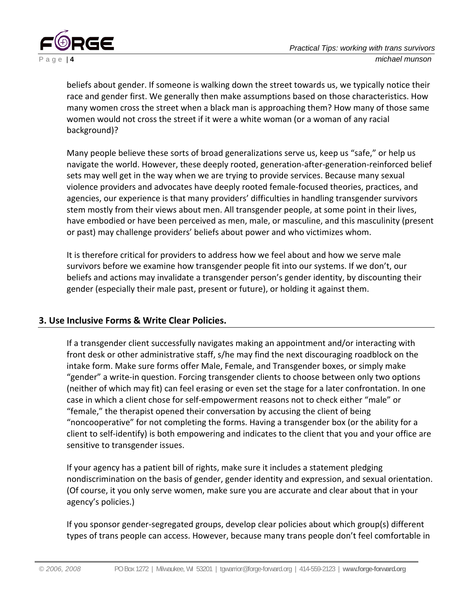

beliefs about gender. If someone is walking down the street towards us, we typically notice their race and gender first. We generally then make assumptions based on those characteristics. How many women cross the street when a black man is approaching them? How many of those same women would not cross the street if it were a white woman (or a woman of any racial background)?

Many people believe these sorts of broad generalizations serve us, keep us "safe," or help us navigate the world. However, these deeply rooted, generation‐after‐generation‐reinforced belief sets may well get in the way when we are trying to provide services. Because many sexual violence providers and advocates have deeply rooted female‐focused theories, practices, and agencies, our experience is that many providers' difficulties in handling transgender survivors stem mostly from their views about men. All transgender people, at some point in their lives, have embodied or have been perceived as men, male, or masculine, and this masculinity (present or past) may challenge providers' beliefs about power and who victimizes whom.

It is therefore critical for providers to address how we feel about and how we serve male survivors before we examine how transgender people fit into our systems. If we don't, our beliefs and actions may invalidate a transgender person's gender identity, by discounting their gender (especially their male past, present or future), or holding it against them.

#### **3. Use Inclusive Forms & Write Clear Policies.**

If a transgender client successfully navigates making an appointment and/or interacting with front desk or other administrative staff, s/he may find the next discouraging roadblock on the intake form. Make sure forms offer Male, Female, and Transgender boxes, or simply make "gender" a write‐in question. Forcing transgender clients to choose between only two options (neither of which may fit) can feel erasing or even set the stage for a later confrontation. In one case in which a client chose for self‐empowerment reasons not to check either "male" or "female," the therapist opened their conversation by accusing the client of being "noncooperative" for not completing the forms. Having a transgender box (or the ability for a client to self‐identify) is both empowering and indicates to the client that you and your office are sensitive to transgender issues.

If your agency has a patient bill of rights, make sure it includes a statement pledging nondiscrimination on the basis of gender, gender identity and expression, and sexual orientation. (Of course, it you only serve women, make sure you are accurate and clear about that in your agency's policies.)

If you sponsor gender‐segregated groups, develop clear policies about which group(s) different types of trans people can access. However, because many trans people don't feel comfortable in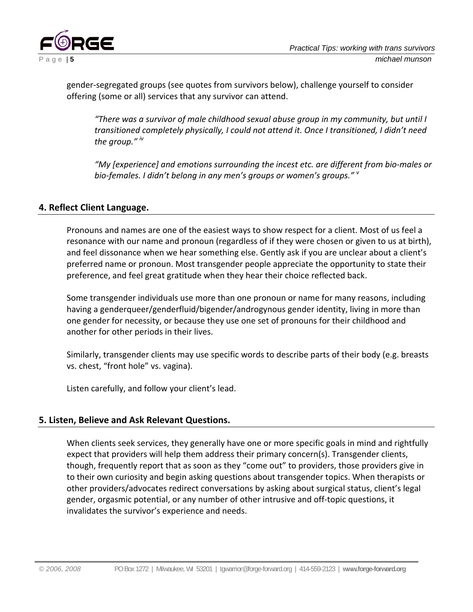

gender‐segregated groups (see quotes from survivors below), challenge yourself to consider offering (some or all) services that any survivor can attend.

*"There was a survivor of male childhood sexual abuse group in my community, but until I transitioned completely physically, I could not attend it. Once I transitioned, I didn't need the group." iv*

*"My [experience] and emotions surrounding the incest etc. are different from bio‐males or bio‐females. I didn't belong in any men's groups or women's groups." <sup>v</sup>*

#### **4. Reflect Client Language.**

Pronouns and names are one of the easiest ways to show respect for a client. Most of us feel a resonance with our name and pronoun (regardless of if they were chosen or given to us at birth), and feel dissonance when we hear something else. Gently ask if you are unclear about a client's preferred name or pronoun. Most transgender people appreciate the opportunity to state their preference, and feel great gratitude when they hear their choice reflected back.

Some transgender individuals use more than one pronoun or name for many reasons, including having a genderqueer/genderfluid/bigender/androgynous gender identity, living in more than one gender for necessity, or because they use one set of pronouns for their childhood and another for other periods in their lives.

Similarly, transgender clients may use specific words to describe parts of their body (e.g. breasts vs. chest, "front hole" vs. vagina).

Listen carefully, and follow your client's lead.

#### **5. Listen, Believe and Ask Relevant Questions.**

When clients seek services, they generally have one or more specific goals in mind and rightfully expect that providers will help them address their primary concern(s). Transgender clients, though, frequently report that as soon as they "come out" to providers, those providers give in to their own curiosity and begin asking questions about transgender topics. When therapists or other providers/advocates redirect conversations by asking about surgical status, client's legal gender, orgasmic potential, or any number of other intrusive and off‐topic questions, it invalidates the survivor's experience and needs.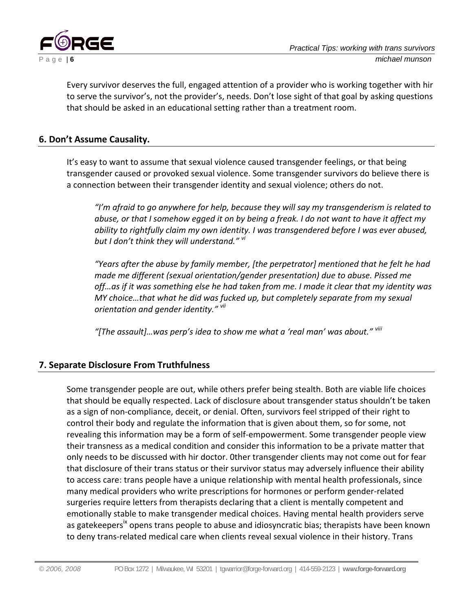

Every survivor deserves the full, engaged attention of a provider who is working together with hir to serve the survivor's, not the provider's, needs. Don't lose sight of that goal by asking questions that should be asked in an educational setting rather than a treatment room.

#### **6. Don't Assume Causality.**

It's easy to want to assume that sexual violence caused transgender feelings, or that being transgender caused or provoked sexual violence. Some transgender survivors do believe there is a connection between their transgender identity and sexual violence; others do not.

*"I'm afraid to go anywhere for help, because they will say my transgenderism is related to* abuse, or that I somehow egged it on by being a freak. I do not want to have it affect my *ability to rightfully claim my own identity. I was transgendered before I was ever abused, but I don't think they will understand." vi*

*"Years after the abuse by family member, [the perpetrator] mentioned that he felt he had made me different (sexual orientation/gender presentation) due to abuse. Pissed me off…as if it was something else he had taken from me. I made it clear that my identity was MY choice…that what he did was fucked up, but completely separate from my sexual orientation and gender identity." vii*

*"[The assault]…was perp's idea to show me what a 'real man' was about." viii*

#### **7. Separate Disclosure From Truthfulness**

Some transgender people are out, while others prefer being stealth. Both are viable life choices that should be equally respected. Lack of disclosure about transgender status shouldn't be taken as a sign of non‐compliance, deceit, or denial. Often, survivors feel stripped of their right to control their body and regulate the information that is given about them, so for some, not revealing this information may be a form of self‐empowerment. Some transgender people view their transness as a medical condition and consider this information to be a private matter that only needs to be discussed with hir doctor. 0ther transgender clients may not come out for fear that disclosure of their trans status or their survivor status may adversely influence their ability to access care: trans people have a unique relationship with mental health professionals, since many medical providers who write prescriptions for hormones or perform gender‐related surgeries require letters from therapists declaring that a client is mentally competent and emotionally stable to make transgender medical choices. Having mental health providers serve as gatekeepers<sup>ix</sup> opens trans people to abuse and idiosyncratic bias; therapists have been known to deny trans‐related medical care when clients reveal sexual violence in their history. Trans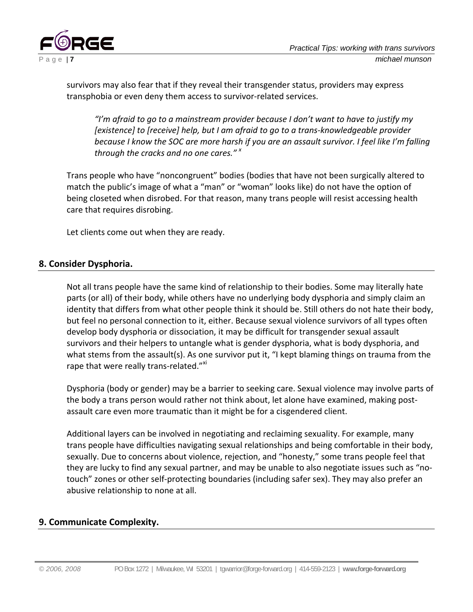

survivors may also fear that if they reveal their transgender status, providers may express transphobia or even deny them access to survivor‐related services.

*"I'm afraid to go to a mainstream provider because I don't want to have to justify my [existence] to [receive] help, but I am afraid to go to a trans‐knowledgeable provider* because I know the SOC are more harsh if you are an assault survivor. I feel like I'm falling *through the cracks and no one cares." <sup>x</sup>*

Trans people who have "noncongruent" bodies (bodies that have not been surgically altered to match the public's image of what a "man" or "woman" looks like) do not have the option of being closeted when disrobed. For that reason, many trans people will resist accessing health care that requires disrobing.

Let clients come out when they are ready.

#### **8. Consider Dysphoria.**

Not all trans people have the same kind of relationship to their bodies. Some may literally hate parts (or all) of their body, while others have no underlying body dysphoria and simply claim an identity that differs from what other people think it should be. Still others do not hate their body, but feel no personal connection to it, either. Because sexual violence survivors of all types often develop body dysphoria or dissociation, it may be difficult for transgender sexual assault survivors and their helpers to untangle what is gender dysphoria, what is body dysphoria, and what stems from the assault(s). As one survivor put it, "I kept blaming things on trauma from the rape that were really trans-related."<sup>xi</sup>

Dysphoria (body or gender) may be a barrier to seeking care. Sexual violence may involve parts of the body a trans person would rather not think about, let alone have examined, making post‐ assault care even more traumatic than it might be for a cisgendered client.

Additional layers can be involved in negotiating and reclaiming sexuality. For example, many trans people have difficulties navigating sexual relationships and being comfortable in their body, sexually. Due to concerns about violence, rejection, and "honesty," some trans people feel that they are lucky to find any sexual partner, and may be unable to also negotiate issues such as "no‐ touch" zones or other self‐protecting boundaries (including safer sex). They may also prefer an abusive relationship to none at all.

#### **9. Communicate Complexity.**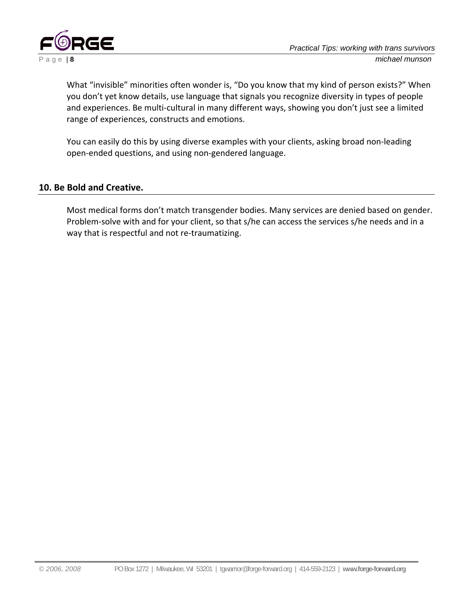

What "invisible" minorities often wonder is, "Do you know that my kind of person exists?" When you don't yet know details, use language that signals you recognize diversity in types of people and experiences. Be multi-cultural in many different ways, showing you don't just see a limited range of experiences, constructs and emotions.

You can easily do this by using diverse examples with your clients, asking broad non‐leading open‐ended questions, and using non‐gendered language.

#### **10. Be Bold and Creative.**

Most medical forms don't match transgender bodies. Many services are denied based on gender. Problem‐solve with and for your client, so that s/he can access the services s/he needs and in a way that is respectful and not re‐traumatizing.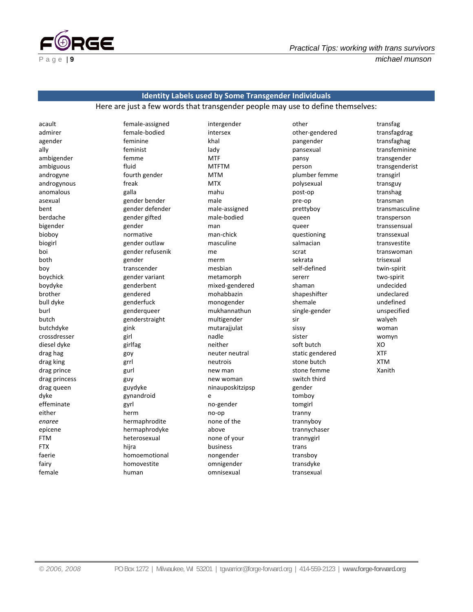

# **Identity Labels used by Some Transgender Individuals**

Here are just a few words that transgender people may use to define themselves:

acault admirer agender ally ambigender ambiguous androgyne androgynous anomalous asexual bent berdache bigender bioboy biogirl boi both boy boychick boydyke brother bull dyke burl butch butchdyke crossdresser diesel dyke drag hag drag king drag prince drag princess drag queen dyke effeminate either *enaree* epicene FTM **FTX** faerie fairy female

female‐assigned female‐bodied feminine feminist femme fluid fourth gender freak galla gender bender gender defender gender gifted gender normative gender outlaw gender refusenik gender transcender gender variant genderbent gendered genderfuck genderqueer genderstraight gink girl girlfag goy grrl gurl guy guydyke gynandroid gyrl herm hermaphrodite hermaphrodyke heterosexual hijra homoemotional homovestite human

intergender intersex khal lady MTF MTFTM MTM MTX mahu male male‐assigned male‐bodied man man‐chick masculine me merm mesbian metamorph mixed‐gendered mohabbazin monogender mukhannathun multigender mutarajjulat nadle neither neuter neutral neutrois new man new woman ninauposkitzipsp e no‐gender no‐op none of the above none of your business nongender omnigender omnisexual

other other‐gendered pangender pansexual pansy person plumber femme polysexual post‐op pre‐op prettyboy queen queer questioning salmacian scrat sekrata self‐defined sererr shaman shapeshifter shemale single‐gender sir sissy sister soft butch static gendered stone butch stone femme switch third gender tomboy tomgirl tranny trannyboy trannychaser trannygirl trans transboy transdyke transexual

transfag transfagdrag transfaghag transfeminine transgender transgenderist transgirl transguy transhag transman transmasculine transperson transsensual transsexual transvestite transwoman trisexual twin‐spirit two‐spirit undecided undeclared undefined unspecified walyeh woman womyn XO XTF XTM Xanith